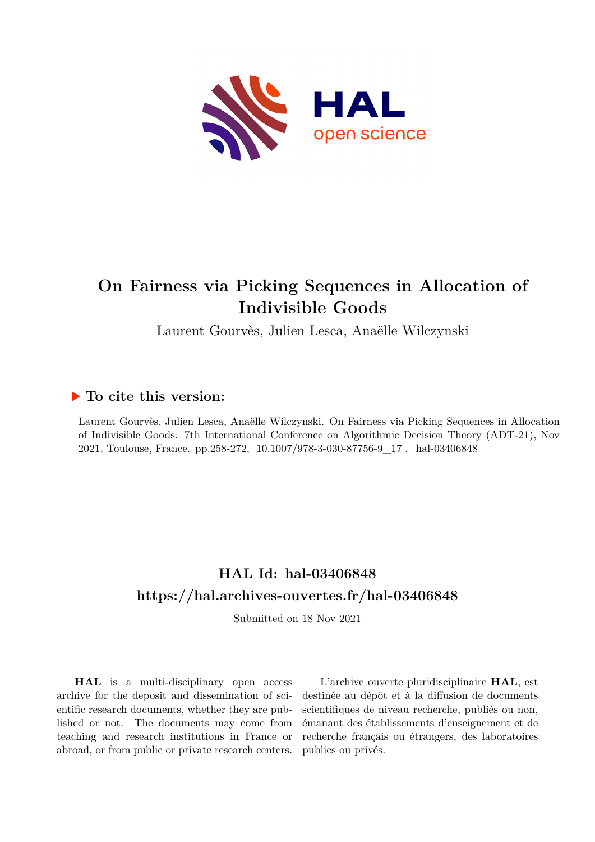

# **On Fairness via Picking Sequences in Allocation of Indivisible Goods**

Laurent Gourvès, Julien Lesca, Anaëlle Wilczynski

# **To cite this version:**

Laurent Gourvès, Julien Lesca, Anaëlle Wilczynski. On Fairness via Picking Sequences in Allocation of Indivisible Goods. 7th International Conference on Algorithmic Decision Theory (ADT-21), Nov 2021, Toulouse, France. pp.258-272,  $10.1007/978-3-030-87756-9\_17$ . hal-03406848

# **HAL Id: hal-03406848 <https://hal.archives-ouvertes.fr/hal-03406848>**

Submitted on 18 Nov 2021

**HAL** is a multi-disciplinary open access archive for the deposit and dissemination of scientific research documents, whether they are published or not. The documents may come from teaching and research institutions in France or abroad, or from public or private research centers.

L'archive ouverte pluridisciplinaire **HAL**, est destinée au dépôt et à la diffusion de documents scientifiques de niveau recherche, publiés ou non, émanant des établissements d'enseignement et de recherche français ou étrangers, des laboratoires publics ou privés.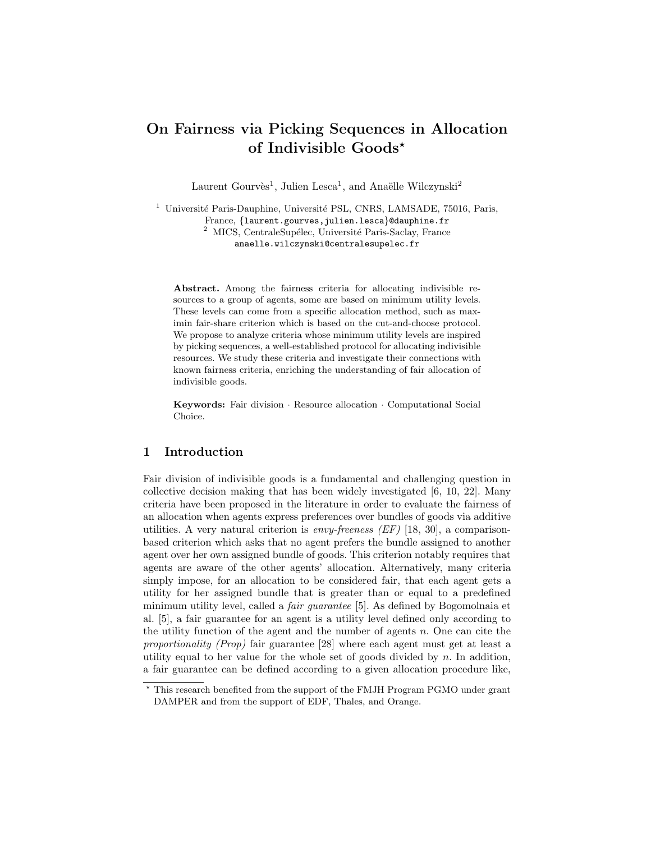# On Fairness via Picking Sequences in Allocation of Indivisible Goods?

Laurent Gourvès<sup>1</sup>, Julien Lesca<sup>1</sup>, and Anaëlle Wilczynski<sup>2</sup>

<sup>1</sup> Université Paris-Dauphine, Université PSL, CNRS, LAMSADE, 75016, Paris, France, {laurent.gourves,julien.lesca}@dauphine.fr <sup>2</sup> MICS, CentraleSupélec, Université Paris-Saclay, France anaelle.wilczynski@centralesupelec.fr

Abstract. Among the fairness criteria for allocating indivisible resources to a group of agents, some are based on minimum utility levels. These levels can come from a specific allocation method, such as maximin fair-share criterion which is based on the cut-and-choose protocol. We propose to analyze criteria whose minimum utility levels are inspired by picking sequences, a well-established protocol for allocating indivisible resources. We study these criteria and investigate their connections with known fairness criteria, enriching the understanding of fair allocation of indivisible goods.

Keywords: Fair division · Resource allocation · Computational Social Choice.

### 1 Introduction

Fair division of indivisible goods is a fundamental and challenging question in collective decision making that has been widely investigated [6, 10, 22]. Many criteria have been proposed in the literature in order to evaluate the fairness of an allocation when agents express preferences over bundles of goods via additive utilities. A very natural criterion is *envy-freeness (EF)* [18, 30], a comparisonbased criterion which asks that no agent prefers the bundle assigned to another agent over her own assigned bundle of goods. This criterion notably requires that agents are aware of the other agents' allocation. Alternatively, many criteria simply impose, for an allocation to be considered fair, that each agent gets a utility for her assigned bundle that is greater than or equal to a predefined minimum utility level, called a fair guarantee [5]. As defined by Bogomolnaia et al. [5], a fair guarantee for an agent is a utility level defined only according to the utility function of the agent and the number of agents n. One can cite the proportionality (Prop) fair guarantee [28] where each agent must get at least a utility equal to her value for the whole set of goods divided by  $n$ . In addition, a fair guarantee can be defined according to a given allocation procedure like,

<sup>?</sup> This research benefited from the support of the FMJH Program PGMO under grant DAMPER and from the support of EDF, Thales, and Orange.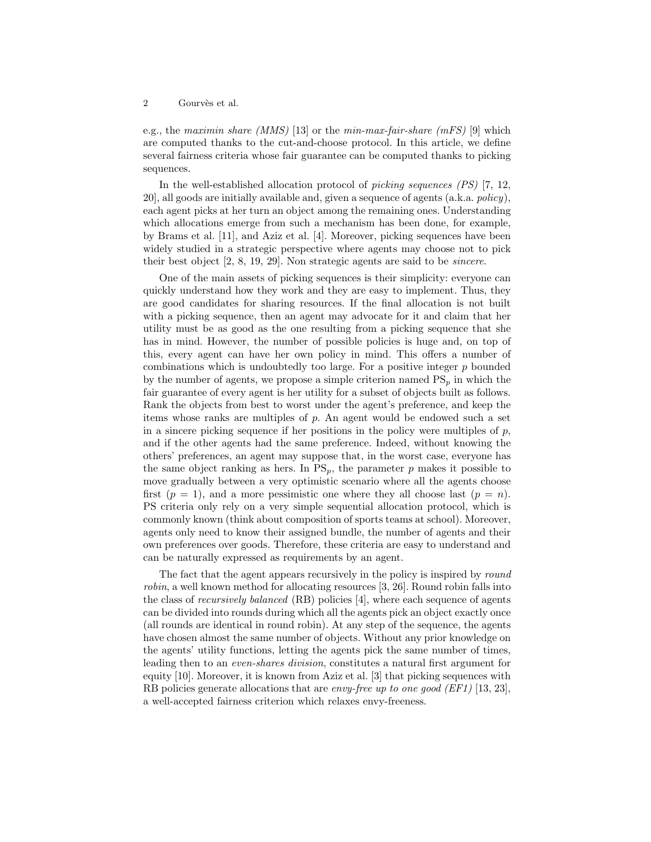e.g., the maximin share (MMS) [13] or the min-max-fair-share (mFS) [9] which are computed thanks to the cut-and-choose protocol. In this article, we define several fairness criteria whose fair guarantee can be computed thanks to picking sequences.

In the well-established allocation protocol of picking sequences (PS) [7, 12, 20], all goods are initially available and, given a sequence of agents (a.k.a. policy), each agent picks at her turn an object among the remaining ones. Understanding which allocations emerge from such a mechanism has been done, for example, by Brams et al. [11], and Aziz et al. [4]. Moreover, picking sequences have been widely studied in a strategic perspective where agents may choose not to pick their best object [2, 8, 19, 29]. Non strategic agents are said to be sincere.

One of the main assets of picking sequences is their simplicity: everyone can quickly understand how they work and they are easy to implement. Thus, they are good candidates for sharing resources. If the final allocation is not built with a picking sequence, then an agent may advocate for it and claim that her utility must be as good as the one resulting from a picking sequence that she has in mind. However, the number of possible policies is huge and, on top of this, every agent can have her own policy in mind. This offers a number of combinations which is undoubtedly too large. For a positive integer  $p$  bounded by the number of agents, we propose a simple criterion named  $PS_p$  in which the fair guarantee of every agent is her utility for a subset of objects built as follows. Rank the objects from best to worst under the agent's preference, and keep the items whose ranks are multiples of p. An agent would be endowed such a set in a sincere picking sequence if her positions in the policy were multiples of  $p$ , and if the other agents had the same preference. Indeed, without knowing the others' preferences, an agent may suppose that, in the worst case, everyone has the same object ranking as hers. In  $PS_p$ , the parameter p makes it possible to move gradually between a very optimistic scenario where all the agents choose first  $(p = 1)$ , and a more pessimistic one where they all choose last  $(p = n)$ . PS criteria only rely on a very simple sequential allocation protocol, which is commonly known (think about composition of sports teams at school). Moreover, agents only need to know their assigned bundle, the number of agents and their own preferences over goods. Therefore, these criteria are easy to understand and can be naturally expressed as requirements by an agent.

The fact that the agent appears recursively in the policy is inspired by round robin, a well known method for allocating resources [3, 26]. Round robin falls into the class of recursively balanced (RB) policies [4], where each sequence of agents can be divided into rounds during which all the agents pick an object exactly once (all rounds are identical in round robin). At any step of the sequence, the agents have chosen almost the same number of objects. Without any prior knowledge on the agents' utility functions, letting the agents pick the same number of times, leading then to an even-shares division, constitutes a natural first argument for equity [10]. Moreover, it is known from Aziz et al. [3] that picking sequences with RB policies generate allocations that are envy-free up to one good (EF1) [13, 23], a well-accepted fairness criterion which relaxes envy-freeness.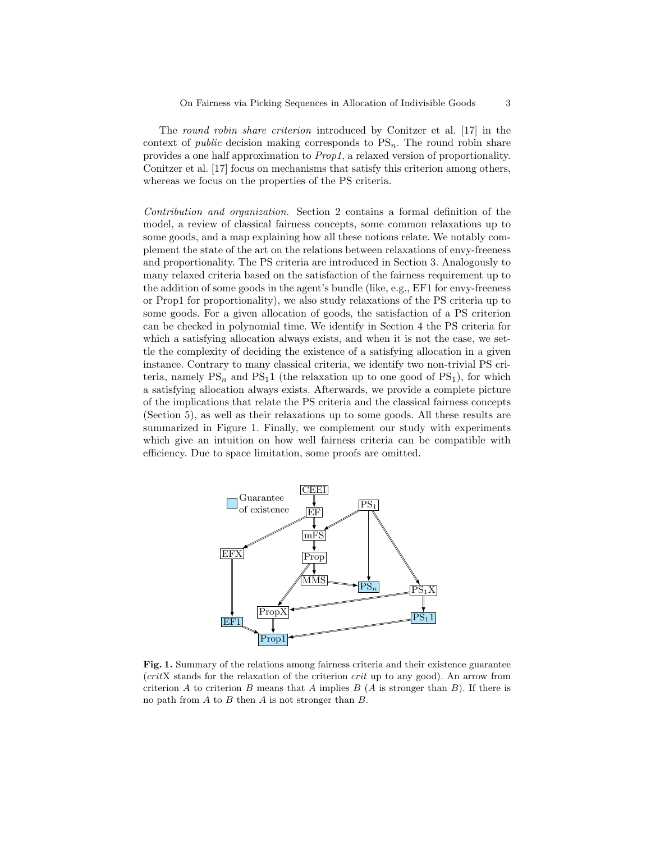The round robin share criterion introduced by Conitzer et al. [17] in the context of *public* decision making corresponds to  $PS_n$ . The round robin share provides a one half approximation to Prop1, a relaxed version of proportionality. Conitzer et al. [17] focus on mechanisms that satisfy this criterion among others, whereas we focus on the properties of the PS criteria.

Contribution and organization. Section 2 contains a formal definition of the model, a review of classical fairness concepts, some common relaxations up to some goods, and a map explaining how all these notions relate. We notably complement the state of the art on the relations between relaxations of envy-freeness and proportionality. The PS criteria are introduced in Section 3. Analogously to many relaxed criteria based on the satisfaction of the fairness requirement up to the addition of some goods in the agent's bundle (like, e.g., EF1 for envy-freeness or Prop1 for proportionality), we also study relaxations of the PS criteria up to some goods. For a given allocation of goods, the satisfaction of a PS criterion can be checked in polynomial time. We identify in Section 4 the PS criteria for which a satisfying allocation always exists, and when it is not the case, we settle the complexity of deciding the existence of a satisfying allocation in a given instance. Contrary to many classical criteria, we identify two non-trivial PS criteria, namely  $PS_n$  and  $PS_11$  (the relaxation up to one good of  $PS_1$ ), for which a satisfying allocation always exists. Afterwards, we provide a complete picture of the implications that relate the PS criteria and the classical fairness concepts (Section 5), as well as their relaxations up to some goods. All these results are summarized in Figure 1. Finally, we complement our study with experiments which give an intuition on how well fairness criteria can be compatible with efficiency. Due to space limitation, some proofs are omitted.



Fig. 1. Summary of the relations among fairness criteria and their existence guarantee  $(critX)$  stands for the relaxation of the criterion  $crit$  up to any good). An arrow from criterion A to criterion B means that A implies B  $(A \text{ is stronger than } B)$ . If there is no path from  $A$  to  $B$  then  $A$  is not stronger than  $B$ .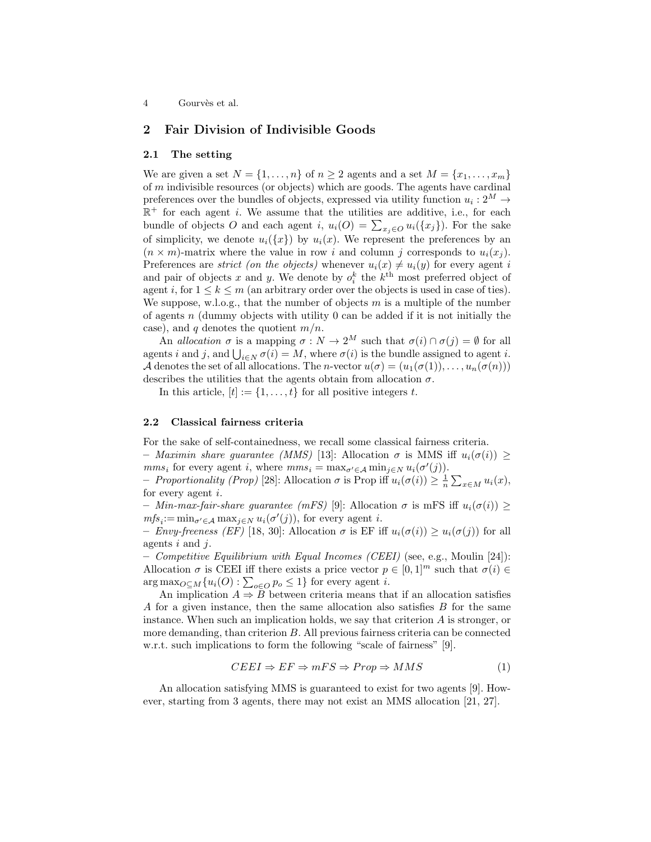### 2 Fair Division of Indivisible Goods

#### 2.1 The setting

We are given a set  $N = \{1, \ldots, n\}$  of  $n \geq 2$  agents and a set  $M = \{x_1, \ldots, x_m\}$ of  $m$  indivisible resources (or objects) which are goods. The agents have cardinal preferences over the bundles of objects, expressed via utility function  $u_i: 2^M \rightarrow$  $\mathbb{R}^+$  for each agent *i*. We assume that the utilities are additive, i.e., for each bundle of objects O and each agent i,  $u_i(O) = \sum_{x_j \in O} u_i(\{x_j\})$ . For the sake of simplicity, we denote  $u_i({x})$  by  $u_i(x)$ . We represent the preferences by an  $(n \times m)$ -matrix where the value in row i and column j corresponds to  $u_i(x_i)$ . Preferences are *strict (on the objects)* whenever  $u_i(x) \neq u_i(y)$  for every agent i and pair of objects x and y. We denote by  $o_i^k$  the  $k^{\text{th}}$  most preferred object of agent i, for  $1 \leq k \leq m$  (an arbitrary order over the objects is used in case of ties). We suppose, w.l.o.g., that the number of objects  $m$  is a multiple of the number of agents  $n$  (dummy objects with utility 0 can be added if it is not initially the case), and q denotes the quotient  $m/n$ .

An allocation  $\sigma$  is a mapping  $\sigma : N \to 2^M$  such that  $\sigma(i) \cap \sigma(j) = \emptyset$  for all agents *i* and *j*, and  $\bigcup_{i \in N} \sigma(i) = M$ , where  $\sigma(i)$  is the bundle assigned to agent *i*. A denotes the set of all allocations. The *n*-vector  $u(\sigma) = (u_1(\sigma(1)), \ldots, u_n(\sigma(n)))$ describes the utilities that the agents obtain from allocation  $\sigma$ .

In this article,  $[t] := \{1, \ldots, t\}$  for all positive integers t.

#### 2.2 Classical fairness criteria

For the sake of self-containedness, we recall some classical fairness criteria.

– Maximin share guarantee (MMS) [13]: Allocation  $\sigma$  is MMS iff  $u_i(\sigma(i)) \geq$  $mms_i$  for every agent i, where  $mms_i = \max_{\sigma' \in \mathcal{A}} \min_{j \in N} u_i(\sigma'(j)).$ 

- Proportionality (Prop) [28]: Allocation  $\sigma$  is Prop iff  $u_i(\sigma(i)) \geq \frac{1}{n} \sum_{x \in M} u_i(x)$ , for every agent i.

– Min-max-fair-share guarantee (mFS) [9]: Allocation  $\sigma$  is mFS iff  $u_i(\sigma(i)) \ge$  $mfs_i := \min_{\sigma' \in \mathcal{A}} \max_{j \in \mathbb{N}} u_i(\sigma'(j))$ , for every agent *i*.

– Envy-freeness (EF) [18, 30]: Allocation  $\sigma$  is EF iff  $u_i(\sigma(i)) \geq u_i(\sigma(j))$  for all agents  $i$  and  $j$ .

– Competitive Equilibrium with Equal Incomes (CEEI) (see, e.g., Moulin [24]): Allocation  $\sigma$  is CEEI iff there exists a price vector  $p \in [0,1]^m$  such that  $\sigma(i) \in$  $\arg \max_{O \subseteq M} \{u_i(O) : \sum_{o \in O} p_o \leq 1\}$  for every agent *i*.

An implication  $A \Rightarrow B$  between criteria means that if an allocation satisfies A for a given instance, then the same allocation also satisfies B for the same instance. When such an implication holds, we say that criterion A is stronger, or more demanding, than criterion B. All previous fairness criteria can be connected w.r.t. such implications to form the following "scale of fairness" [9].

$$
CEEI \Rightarrow EF \Rightarrow mFS \Rightarrow Prop \Rightarrow MMS \tag{1}
$$

An allocation satisfying MMS is guaranteed to exist for two agents [9]. However, starting from 3 agents, there may not exist an MMS allocation [21, 27].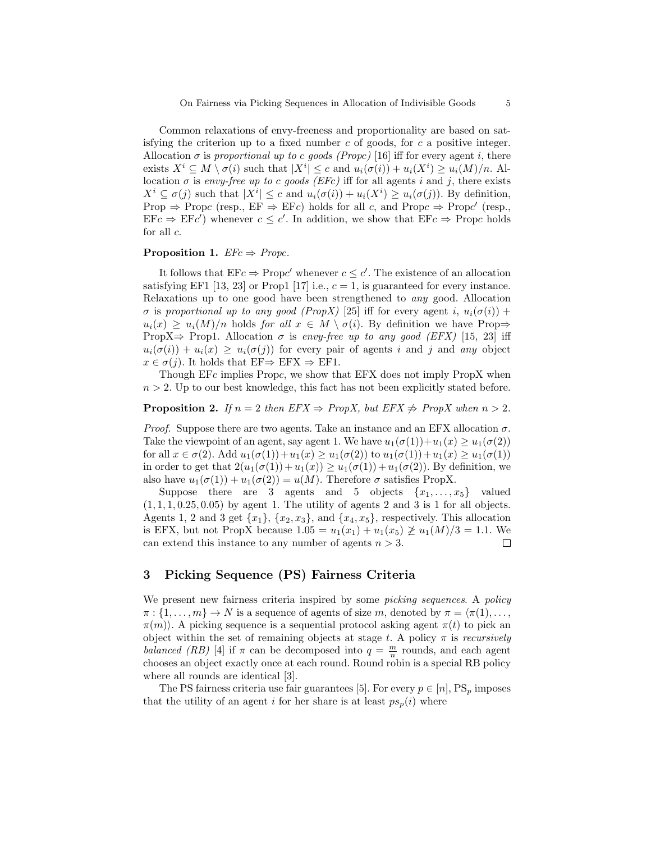Common relaxations of envy-freeness and proportionality are based on satisfying the criterion up to a fixed number  $c$  of goods, for  $c$  a positive integer. Allocation  $\sigma$  is proportional up to c goods (Propc) [16] iff for every agent i, there exists  $X^i \subseteq M \setminus \sigma(i)$  such that  $|X^i| \leq c$  and  $u_i(\sigma(i)) + u_i(X^i) \geq u_i(M)/n$ . Allocation  $\sigma$  is envy-free up to c goods (EFc) iff for all agents i and j, there exists  $X^i \subseteq \sigma(j)$  such that  $|X^i| \leq c$  and  $u_i(\sigma(i)) + u_i(X^i) \geq u_i(\sigma(j))$ . By definition, Prop  $\Rightarrow$  Propc (resp., EF  $\Rightarrow$  EFc) holds for all c, and Propc  $\Rightarrow$  Propc' (resp.,  $EFc \Rightarrow EFc'$ ) whenever  $c \leq c'$ . In addition, we show that  $EFc \Rightarrow \text{Prop}c$  holds for all c.

#### **Proposition 1.**  $EFc \Rightarrow Propc$ .

It follows that  $EFc \Rightarrow \text{Prop}c'$  whenever  $c \leq c'$ . The existence of an allocation satisfying EF1 [13, 23] or Prop1 [17] i.e.,  $c = 1$ , is guaranteed for every instance. Relaxations up to one good have been strengthened to any good. Allocation  $\sigma$  is proportional up to any good (PropX) [25] iff for every agent i,  $u_i(\sigma(i))$  +  $u_i(x) \ge u_i(M)/n$  holds for all  $x \in M \setminus \sigma(i)$ . By definition we have Prop $\Rightarrow$ PropX $\Rightarrow$  Prop1. Allocation  $\sigma$  is envy-free up to any good (EFX) [15, 23] iff  $u_i(\sigma(i)) + u_i(x) \geq u_i(\sigma(j))$  for every pair of agents i and j and any object  $x \in \sigma(j)$ . It holds that  $EF \Rightarrow EFX \Rightarrow EF1$ .

Though EFc implies Propc, we show that EFX does not imply PropX when  $n > 2$ . Up to our best knowledge, this fact has not been explicitly stated before.

**Proposition 2.** If  $n = 2$  then  $EFX \Rightarrow PropX$ , but  $EFX \neq PropX$  when  $n > 2$ .

*Proof.* Suppose there are two agents. Take an instance and an EFX allocation  $\sigma$ . Take the viewpoint of an agent, say agent 1. We have  $u_1(\sigma(1))+u_1(x) \geq u_1(\sigma(2))$ for all  $x \in \sigma(2)$ . Add  $u_1(\sigma(1)) + u_1(x) \ge u_1(\sigma(2))$  to  $u_1(\sigma(1)) + u_1(x) \ge u_1(\sigma(1))$ in order to get that  $2(u_1(\sigma(1)) + u_1(x)) \ge u_1(\sigma(1)) + u_1(\sigma(2))$ . By definition, we also have  $u_1(\sigma(1)) + u_1(\sigma(2)) = u(M)$ . Therefore  $\sigma$  satisfies PropX.

Suppose there are 3 agents and 5 objects  $\{x_1, \ldots, x_5\}$  valued  $(1, 1, 1, 0.25, 0.05)$  by agent 1. The utility of agents 2 and 3 is 1 for all objects. Agents 1, 2 and 3 get  $\{x_1\}$ ,  $\{x_2, x_3\}$ , and  $\{x_4, x_5\}$ , respectively. This allocation is EFX, but not PropX because  $1.05 = u_1(x_1) + u_1(x_5) \not\geq u_1(M)/3 = 1.1$ . We can extend this instance to any number of agents  $n > 3$ .  $\Box$ 

## 3 Picking Sequence (PS) Fairness Criteria

We present new fairness criteria inspired by some *picking sequences*. A *policy*  $\pi : \{1, \ldots, m\} \to N$  is a sequence of agents of size m, denoted by  $\pi = \langle \pi(1), \ldots, \pi \rangle$  $\pi(m)$ . A picking sequence is a sequential protocol asking agent  $\pi(t)$  to pick an object within the set of remaining objects at stage t. A policy  $\pi$  is recursively balanced (RB) [4] if  $\pi$  can be decomposed into  $q = \frac{m}{n}$  rounds, and each agent chooses an object exactly once at each round. Round robin is a special RB policy where all rounds are identical [3].

The PS fairness criteria use fair guarantees [5]. For every  $p \in [n]$ , PS<sub>p</sub> imposes that the utility of an agent i for her share is at least  $ps_p(i)$  where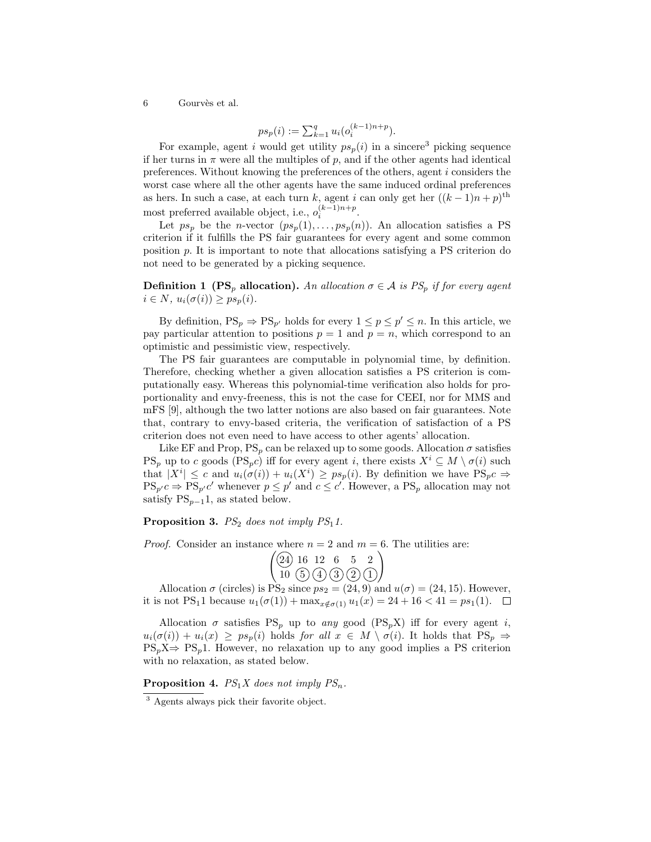$$
ps_p(i) := \sum_{k=1}^q u_i(o_i^{(k-1)n+p}).
$$

For example, agent i would get utility  $ps_p(i)$  in a sincere<sup>3</sup> picking sequence if her turns in  $\pi$  were all the multiples of p, and if the other agents had identical preferences. Without knowing the preferences of the others, agent i considers the worst case where all the other agents have the same induced ordinal preferences as hers. In such a case, at each turn k, agent i can only get her  $((k-1)n+p)$ <sup>th</sup> most preferred available object, i.e.,  $o_i^{(k-1)n+p}$ .

Let  $ps_p$  be the *n*-vector  $(ps_p(1), \ldots, ps_p(n))$ . An allocation satisfies a PS criterion if it fulfills the PS fair guarantees for every agent and some common position p. It is important to note that allocations satisfying a PS criterion do not need to be generated by a picking sequence.

**Definition 1 (PS<sub>p</sub> allocation).** An allocation  $\sigma \in A$  is PS<sub>p</sub> if for every agent  $i \in N$ ,  $u_i(\sigma(i)) \geq ps_p(i)$ .

By definition,  $PS_p \Rightarrow PS_{p'}$  holds for every  $1 \leq p \leq p' \leq n$ . In this article, we pay particular attention to positions  $p = 1$  and  $p = n$ , which correspond to an optimistic and pessimistic view, respectively.

The PS fair guarantees are computable in polynomial time, by definition. Therefore, checking whether a given allocation satisfies a PS criterion is computationally easy. Whereas this polynomial-time verification also holds for proportionality and envy-freeness, this is not the case for CEEI, nor for MMS and mFS [9], although the two latter notions are also based on fair guarantees. Note that, contrary to envy-based criteria, the verification of satisfaction of a PS criterion does not even need to have access to other agents' allocation.

Like EF and Prop,  $PS_p$  can be relaxed up to some goods. Allocation  $\sigma$  satisfies  $PS_p$  up to c goods  $(PS_p c)$  iff for every agent i, there exists  $X^i \subseteq M \setminus \sigma(i)$  such that  $|X^i| \leq c$  and  $u_i(\sigma(i)) + u_i(X^i) \geq ps_p(i)$ . By definition we have  $PS_p c \Rightarrow$  $PS_{p'}c \Rightarrow PS_{p'}c'$  whenever  $p \leq p'$  and  $c \leq c'$ . However, a  $PS_p$  allocation may not satisfy  $PS_{n-1}1$ , as stated below.

**Proposition 3.**  $PS_2$  does not imply  $PS_11$ .

*Proof.* Consider an instance where  $n = 2$  and  $m = 6$ . The utilities are:

$$
\begin{pmatrix}\n\boxed{24} & 16 & 12 & 6 & 5 & 2 \\
10 & \boxed{5} & \boxed{4} & \boxed{3} & \boxed{2} & \boxed{1}\n\end{pmatrix}
$$

Allocation  $\sigma$  (circles) is PS<sub>2</sub> since  $ps_2 = (24, 9)$  and  $u(\sigma) = (24, 15)$ . However, it is not PS<sub>1</sub>1 because  $u_1(\sigma(1)) + \max_{x \notin \sigma(1)} u_1(x) = 24 + 16 < 41 = ps_1(1)$ .  $\Box$ 

Allocation  $\sigma$  satisfies PS<sub>p</sub> up to any good (PS<sub>p</sub>X) iff for every agent i,  $u_i(\sigma(i)) + u_i(x) \geq ps_p(i)$  holds for all  $x \in M \setminus \sigma(i)$ . It holds that  $PS_p \Rightarrow$  $PS_pX \Rightarrow PS_p1$ . However, no relaxation up to any good implies a PS criterion with no relaxation, as stated below.

**Proposition 4.**  $PS_1X$  does not imply  $PS_n$ .

<sup>3</sup> Agents always pick their favorite object.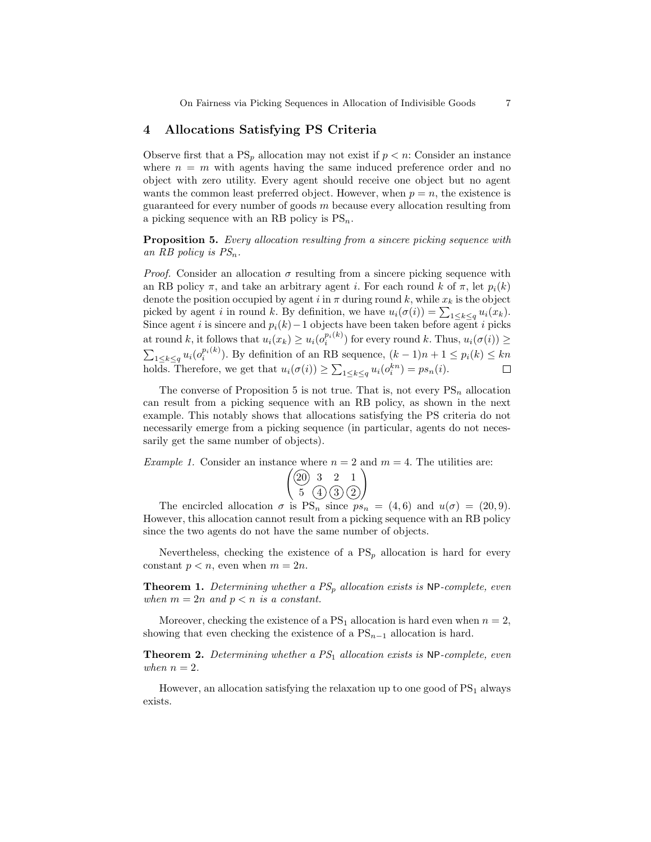### 4 Allocations Satisfying PS Criteria

Observe first that a  $PS_p$  allocation may not exist if  $p < n$ : Consider an instance where  $n = m$  with agents having the same induced preference order and no object with zero utility. Every agent should receive one object but no agent wants the common least preferred object. However, when  $p = n$ , the existence is guaranteed for every number of goods  $m$  because every allocation resulting from a picking sequence with an RB policy is  $PS_n$ .

Proposition 5. Every allocation resulting from a sincere picking sequence with an RB policy is  $PS_n$ .

*Proof.* Consider an allocation  $\sigma$  resulting from a sincere picking sequence with an RB policy  $\pi$ , and take an arbitrary agent *i*. For each round k of  $\pi$ , let  $p_i(k)$ denote the position occupied by agent i in  $\pi$  during round k, while  $x_k$  is the object picked by agent *i* in round *k*. By definition, we have  $u_i(\sigma(i)) = \sum_{1 \leq k \leq q} u_i(x_k)$ . Since agent i is sincere and  $p_i(k)$  – 1 objects have been taken before agent i picks at round k, it follows that  $u_i(x_k) \geq u_i(o_i^{p_i(k)})$  for every round k. Thus,  $u_i(\sigma(i)) \geq$  $\sum_{1 \leq k \leq q} u_i(o_i^{p_i(k)})$ . By definition of an RB sequence,  $(k-1)n + 1 \leq p_i(k) \leq kn$ holds. Therefore, we get that  $u_i(\sigma(i)) \geq \sum_{1 \leq k \leq q} u_i(o_i^{kn}) = ps_n(i)$ .

The converse of Proposition 5 is not true. That is, not every  $PS_n$  allocation can result from a picking sequence with an RB policy, as shown in the next example. This notably shows that allocations satisfying the PS criteria do not necessarily emerge from a picking sequence (in particular, agents do not necessarily get the same number of objects).

*Example 1.* Consider an instance where  $n = 2$  and  $m = 4$ . The utilities are:

$$
\begin{pmatrix}\n\boxed{20} & 3 & 2 & 1 \\
5 & \boxed{4} & \boxed{3} & \boxed{2}\n\end{pmatrix}
$$

The encircled allocation  $\sigma$  is  $PS_n$  since  $ps_n = (4, 6)$  and  $u(\sigma) = (20, 9)$ . However, this allocation cannot result from a picking sequence with an RB policy since the two agents do not have the same number of objects.

Nevertheless, checking the existence of a  $PS_p$  allocation is hard for every constant  $p < n$ , even when  $m = 2n$ .

**Theorem 1.** Determining whether a  $PS_p$  allocation exists is NP-complete, even when  $m = 2n$  and  $p < n$  is a constant.

Moreover, checking the existence of a  $PS_1$  allocation is hard even when  $n = 2$ , showing that even checking the existence of a  $PS_{n-1}$  allocation is hard.

**Theorem 2.** Determining whether a  $PS<sub>1</sub>$  allocation exists is NP-complete, even when  $n = 2$ .

However, an allocation satisfying the relaxation up to one good of  $PS<sub>1</sub>$  always exists.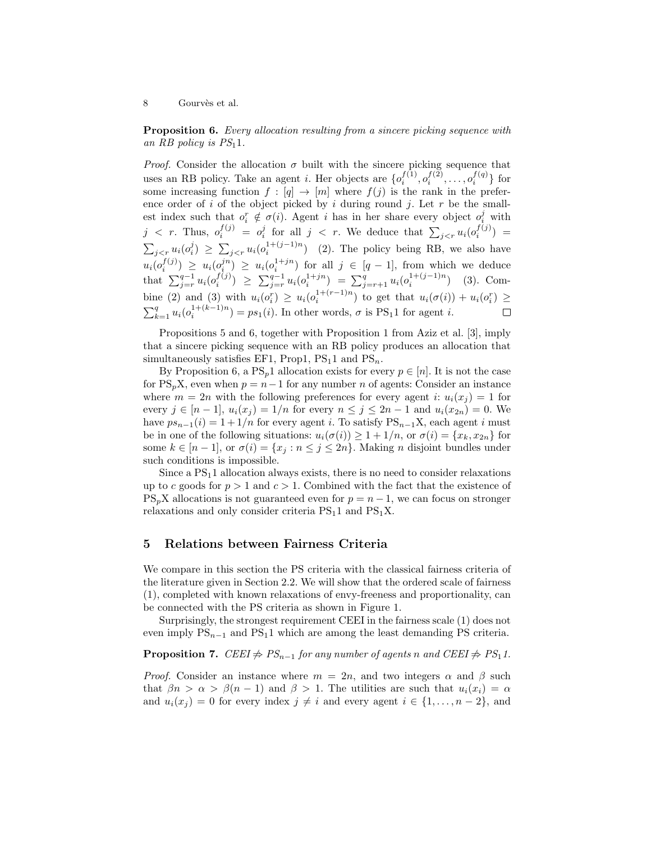**Proposition 6.** Every allocation resulting from a sincere picking sequence with an RB policy is  $PS<sub>1</sub>1$ .

*Proof.* Consider the allocation  $\sigma$  built with the sincere picking sequence that uses an RB policy. Take an agent *i*. Her objects are  $\{o_i^{f(1)}, o_i^{f(2)}, \ldots, o_i^{f(q)}\}$  for some increasing function  $f : [q] \to [m]$  where  $f(j)$  is the rank in the preference order of i of the object picked by i during round j. Let  $r$  be the smallest index such that  $o_i^r \notin \sigma(i)$ . Agent i has in her share every object  $o_i^j$  with  $j \leq r$ . Thus,  $o_i^{f(j)} = o_i^j$  for all  $j \leq r$ . We deduce that  $\sum_{j \leq r} u_i(o_i^{f(j)}) =$  $\sum_{j \leq r} u_i(o_i^j) \geq \sum_{j \leq r} u_i(o_i^{1+(j-1)n})$  (2). The policy being RB, we also have  $u_i(o_i^{f(j)}) \geq u_i(o_i^{j+n}) \geq u_i(o_i^{1+jn})$  for all  $j \in [q-1]$ , from which we deduce that  $\sum_{j=r}^{q-1} u_i(o_i^{f(j)}) \geq \sum_{j=r}^{q-1} u_i(o_i^{1+jn}) = \sum_{j=r+1}^{q} u_i(o_i^{1+(j-1)n})$  (3). Combine (2) and (3) with  $u_i(o_i^r) \ge u_i(o_i^{1+(r-1)n})$  to get that  $u_i(\sigma(i)) + u_i(o_i^r) \ge$  $\sum_{k=1}^{q} u_i(o_i^{1+(k-1)n}) = ps_1(i)$ . In other words,  $\sigma$  is PS<sub>1</sub>1 for agent *i*.

Propositions 5 and 6, together with Proposition 1 from Aziz et al. [3], imply that a sincere picking sequence with an RB policy produces an allocation that simultaneously satisfies EF1, Prop1,  $PS_11$  and  $PS_n$ .

By Proposition 6, a  $PS_p1$  allocation exists for every  $p \in [n]$ . It is not the case for PS<sub>p</sub>X, even when  $p = n - 1$  for any number n of agents: Consider an instance where  $m = 2n$  with the following preferences for every agent i:  $u_i(x_j) = 1$  for every  $j \in [n-1]$ ,  $u_i(x_j) = 1/n$  for every  $n \le j \le 2n-1$  and  $u_i(x_{2n}) = 0$ . We have  $ps_{n-1}(i) = 1 + 1/n$  for every agent i. To satisfy  $PS_{n-1}X$ , each agent i must be in one of the following situations:  $u_i(\sigma(i)) \geq 1 + 1/n$ , or  $\sigma(i) = \{x_k, x_{2n}\}\$ for some  $k \in [n-1]$ , or  $\sigma(i) = \{x_j : n \leq j \leq 2n\}$ . Making *n* disjoint bundles under such conditions is impossible.

Since a  $PS<sub>1</sub>1$  allocation always exists, there is no need to consider relaxations up to c goods for  $p > 1$  and  $c > 1$ . Combined with the fact that the existence of  $PS_nX$  allocations is not guaranteed even for  $p = n - 1$ , we can focus on stronger relaxations and only consider criteria  $PS<sub>1</sub>1$  and  $PS<sub>1</sub>X$ .

#### 5 Relations between Fairness Criteria

We compare in this section the PS criteria with the classical fairness criteria of the literature given in Section 2.2. We will show that the ordered scale of fairness (1), completed with known relaxations of envy-freeness and proportionality, can be connected with the PS criteria as shown in Figure 1.

Surprisingly, the strongest requirement CEEI in the fairness scale (1) does not even imply  $PS_{n-1}$  and  $PS_11$  which are among the least demanding PS criteria.

**Proposition 7.** CEEI  $\neq PS_{n-1}$  for any number of agents n and CEEI  $\neq PS_1 1$ .

*Proof.* Consider an instance where  $m = 2n$ , and two integers  $\alpha$  and  $\beta$  such that  $\beta n > \alpha > \beta(n-1)$  and  $\beta > 1$ . The utilities are such that  $u_i(x_i) = \alpha$ and  $u_i(x_j) = 0$  for every index  $j \neq i$  and every agent  $i \in \{1, \ldots, n-2\}$ , and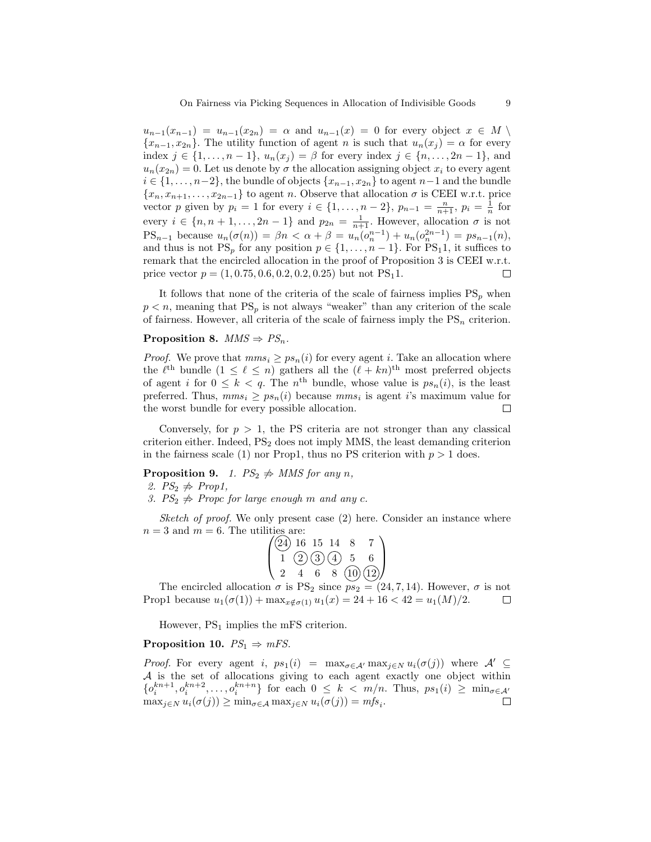$u_{n-1}(x_{n-1}) = u_{n-1}(x_{2n}) = \alpha$  and  $u_{n-1}(x) = 0$  for every object  $x \in M \setminus$  ${x_{n-1}, x_{2n}}$ . The utility function of agent n is such that  $u_n(x_j) = \alpha$  for every index  $j \in \{1, \ldots, n-1\}$ ,  $u_n(x_j) = \beta$  for every index  $j \in \{n, \ldots, 2n-1\}$ , and  $u_n(x_{2n}) = 0$ . Let us denote by  $\sigma$  the allocation assigning object  $x_i$  to every agent  $i \in \{1, \ldots, n-2\}$ , the bundle of objects  $\{x_{n-1}, x_{2n}\}$  to agent  $n-1$  and the bundle  ${x_n, x_{n+1}, \ldots, x_{2n-1}}$  to agent n. Observe that allocation  $\sigma$  is CEEI w.r.t. price vector p given by  $p_i = 1$  for every  $i \in \{1, ..., n-2\}$ ,  $p_{n-1} = \frac{n}{n+1}$ ,  $p_i = \frac{1}{n}$  for every  $i \in \{n, n+1, \ldots, 2n-1\}$  and  $p_{2n} = \frac{1}{n+1}$ . However, allocation  $\sigma$  is not PS<sub>n-1</sub> because  $u_n(\sigma(n)) = \beta n < \alpha + \beta = u_n(o_n^{n-1}) + u_n(o_n^{2n-1}) = ps_{n-1}(n)$ , and thus is not  $PS_p$  for any position  $p \in \{1, \ldots, n-1\}$ . For  $PS_11$ , it suffices to remark that the encircled allocation in the proof of Proposition 3 is CEEI w.r.t. price vector  $p = (1, 0.75, 0.6, 0.2, 0.2, 0.25)$  but not PS<sub>1</sub>1.  $\Box$ 

It follows that none of the criteria of the scale of fairness implies  $PS_p$  when  $p < n$ , meaning that  $PS_p$  is not always "weaker" than any criterion of the scale of fairness. However, all criteria of the scale of fairness imply the  $PS_n$  criterion.

#### Proposition 8.  $MMS \Rightarrow PS_n$ .

*Proof.* We prove that  $mms_i \geq ps_n(i)$  for every agent i. Take an allocation where the  $\ell^{\text{th}}$  bundle  $(1 \leq \ell \leq n)$  gathers all the  $(\ell + kn)^{\text{th}}$  most preferred objects of agent i for  $0 \leq k < q$ . The n<sup>th</sup> bundle, whose value is  $ps_n(i)$ , is the least preferred. Thus,  $mms_i \geq ps_n(i)$  because  $mms_i$  is agent *i*'s maximum value for the worst bundle for every possible allocation.  $\Box$ 

Conversely, for  $p > 1$ , the PS criteria are not stronger than any classical criterion either. Indeed,  $PS<sub>2</sub>$  does not imply MMS, the least demanding criterion in the fairness scale (1) nor Prop1, thus no PS criterion with  $p > 1$  does.

**Proposition 9.** 1.  $PS_2 \nightharpoonup \text{MMS}$  for any n,

2.  $PS_2 \nightharpoonup \n Prop1,$ 

3.  $PS_2 \nightharpoonup$  Propc for large enough m and any c.

Sketch of proof. We only present case  $(2)$  here. Consider an instance where  $n = 3$  and  $m = 6$ . The utilities are:

|  | $\sqrt{24}$ 16 15 14 |    |                  |                         |
|--|----------------------|----|------------------|-------------------------|
|  |                      |    | $1\ (2)(3)(4)$ 5 | 6                       |
|  |                      | 6. |                  | $\frac{1}{8}$ (10) (12) |

The encircled allocation  $\sigma$  is PS<sub>2</sub> since  $ps_2 = (24, 7, 14)$ . However,  $\sigma$  is not Prop1 because  $u_1(\sigma(1)) + \max_{x \notin \sigma(1)} u_1(x) = 24 + 16 < 42 = u_1(M)/2$ . □

However,  $PS_1$  implies the mFS criterion.

#### Proposition 10.  $PS_1 \Rightarrow mFS$ .

*Proof.* For every agent i,  $ps_1(i) = \max_{\sigma \in \mathcal{A}} \max_{j \in N} u_i(\sigma(j))$  where  $\mathcal{A}' \subseteq$ A is the set of allocations giving to each agent exactly one object within  $\{o_i^{kn+1}, o_i^{kn+2}, \ldots, o_i^{kn+n}\}\;$  for each  $0 \leq k < m/n$ . Thus,  $ps_1(i) \geq \min_{\sigma \in \mathcal{A}'}$  $\max_{j \in N} u_i(\sigma(j)) \ge \min_{\sigma \in \mathcal{A}} \max_{j \in N} u_i(\sigma(j)) = mfs_i.$  $\Box$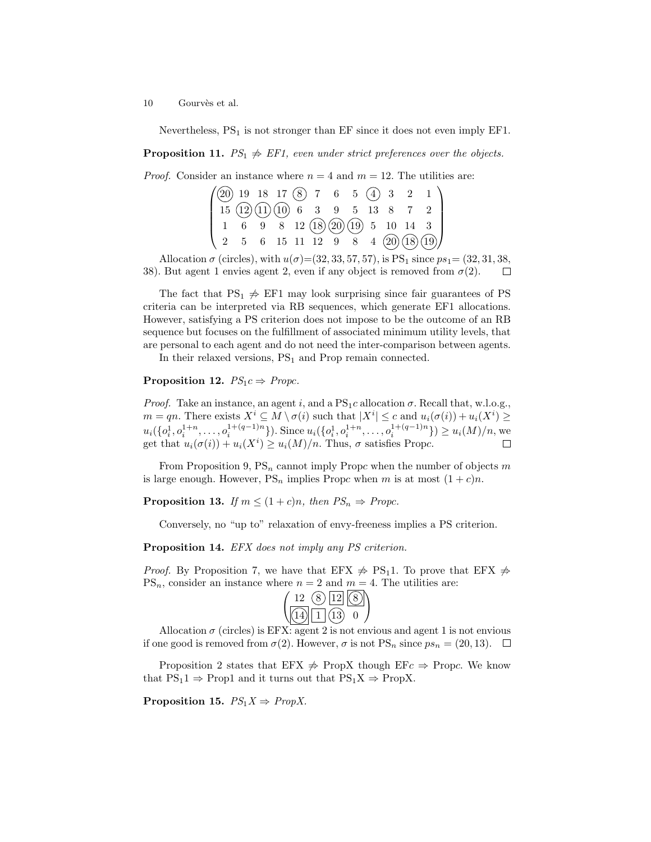Nevertheless,  $PS<sub>1</sub>$  is not stronger than EF since it does not even imply EF1.

**Proposition 11.**  $PS_1 \nightharpoonup FST_1$ , even under strict preferences over the objects.

*Proof.* Consider an instance where  $n = 4$  and  $m = 12$ . The utilities are:

| $(20)$ 19 18 17 $(8)$ 7 6 5 $(4)$ 3 2 1                                                                    |  |  |  |  |  |                                                                                           |
|------------------------------------------------------------------------------------------------------------|--|--|--|--|--|-------------------------------------------------------------------------------------------|
| $\left[ \begin{array}{ccccc} 15 & (12) & (11) & (10) & 6 & 3 & 9 & 5 & 13 & 8 & 7 & 2 \end{array} \right]$ |  |  |  |  |  |                                                                                           |
|                                                                                                            |  |  |  |  |  | $1 \t6 \t9 \t8 \t12 \t(18) \t(20) \t(19) \t5 \t10 \t14 \t3$                               |
|                                                                                                            |  |  |  |  |  | $\begin{pmatrix} 2 & 5 & 6 & 15 & 11 & 12 & 9 & 8 & 4 & (20) & (18) & (19) \end{pmatrix}$ |

Allocation  $\sigma$  (circles), with  $u(\sigma) = (32, 33, 57, 57)$ , is PS<sub>1</sub> since  $ps_1 = (32, 31, 38,$ 38). But agent 1 envies agent 2, even if any object is removed from  $\sigma(2)$ .  $\Box$ 

The fact that  $PS_1 \nightharpoonup F\to EF1$  may look surprising since fair guarantees of PS criteria can be interpreted via RB sequences, which generate EF1 allocations. However, satisfying a PS criterion does not impose to be the outcome of an RB sequence but focuses on the fulfillment of associated minimum utility levels, that are personal to each agent and do not need the inter-comparison between agents.

In their relaxed versions,  $PS_1$  and Prop remain connected.

## **Proposition 12.**  $PS_1c \Rightarrow Propc$ .

*Proof.* Take an instance, an agent i, and a  $PS_1c$  allocation  $\sigma$ . Recall that, w.l.o.g.,  $m = qn$ . There exists  $X^i \subseteq M \setminus \sigma(i)$  such that  $|X^i| \leq c$  and  $u_i(\sigma(i)) + u_i(X^i) \geq$  $u_i(\{o_i^1, o_i^{1+n}, \ldots, o_i^{1+(q-1)n}\})$ . Since  $u_i(\{o_i^1, o_i^{1+n}, \ldots, o_i^{1+(q-1)n}\}) \geq u_i(M)/n$ , we get that  $u_i(\sigma(i)) + u_i(X^i) \ge u_i(M)/n$ . Thus,  $\sigma$  satisfies Propc.

From Proposition 9,  $PS_n$  cannot imply Propc when the number of objects  $m$ is large enough. However,  $PS_n$  implies Propc when m is at most  $(1+c)n$ .

**Proposition 13.** If  $m \leq (1+c)n$ , then  $PS_n \Rightarrow Propc$ .

Conversely, no "up to" relaxation of envy-freeness implies a PS criterion.

Proposition 14. EFX does not imply any PS criterion.

*Proof.* By Proposition 7, we have that EFX  $\neq$  PS<sub>1</sub>1. To prove that EFX  $\neq$  $PS_n$ , consider an instance where  $n = 2$  and  $m = 4$ . The utilities are:

| 1121           |  |
|----------------|--|
| $\overline{1}$ |  |

Allocation  $\sigma$  (circles) is EFX: agent 2 is not envious and agent 1 is not envious if one good is removed from  $\sigma(2)$ . However,  $\sigma$  is not PS<sub>n</sub> since  $ps_n = (20, 13)$ .  $\Box$ 

Proposition 2 states that EFX  $\Rightarrow$  PropX though EFc  $\Rightarrow$  Propc. We know that  $PS_11 \Rightarrow Prop1$  and it turns out that  $PS_1X \Rightarrow PropX$ .

Proposition 15.  $PS_1X \Rightarrow PropX$ .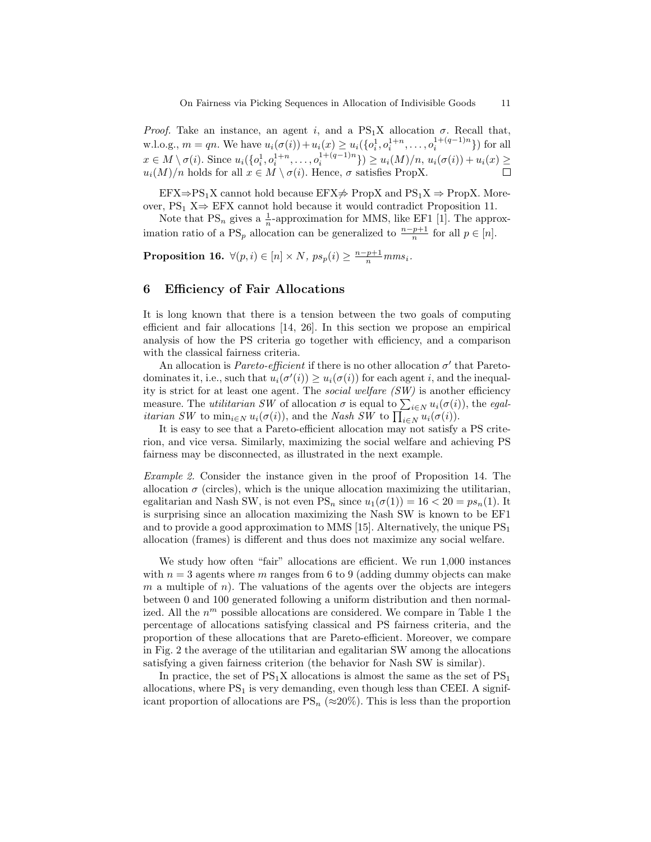Proof. Take an instance, an agent i, and a  $PS_1X$  allocation  $\sigma$ . Recall that, w.l.o.g.,  $m = qn$ . We have  $u_i(\sigma(i)) + u_i(x) \ge u_i(\{o_i^1, o_i^{1+n}, \dots, o_i^{1+(q-1)n}\})$  for all  $x \in M \setminus \sigma(i)$ . Since  $u_i(\{o_i^1, o_i^{1+n}, \ldots, o_i^{1+(q-1)n}\}) \ge u_i(M)/n$ ,  $u_i(\sigma(i)) + u_i(x) \ge$  $u_i(M)/n$  holds for all  $x \in M \setminus \sigma(i)$ . Hence,  $\sigma$  satisfies PropX.  $\Box$ 

 $EFX \Rightarrow PS_1X$  cannot hold because  $EFX \not\Rightarrow PropX$  and  $PS_1X \Rightarrow PropX$ . Moreover,  $PS_1 X \Rightarrow EFX$  cannot hold because it would contradict Proposition 11.

Note that  $PS_n$  gives a  $\frac{1}{n}$ -approximation for MMS, like EF1 [1]. The approximation ratio of a PS<sub>p</sub> allocation can be generalized to  $\frac{n-p+1}{n}$  for all  $p \in [n]$ .

**Proposition 16.**  $\forall (p, i) \in [n] \times N$ ,  $ps_p(i) \geq \frac{n-p+1}{n} m m s_i$ .

### 6 Efficiency of Fair Allocations

It is long known that there is a tension between the two goals of computing efficient and fair allocations [14, 26]. In this section we propose an empirical analysis of how the PS criteria go together with efficiency, and a comparison with the classical fairness criteria.

An allocation is *Pareto-efficient* if there is no other allocation  $\sigma'$  that Paretodominates it, i.e., such that  $u_i(\sigma'(i)) \geq u_i(\sigma(i))$  for each agent i, and the inequality is strict for at least one agent. The social welfare (SW) is another efficiency measure. The *utilitarian SW* of allocation  $\sigma$  is equal to  $\sum_{i \in N} u_i(\sigma(i))$ , the *egalitarian SW* to  $\min_{i \in N} u_i(\sigma(i))$ , and the *Nash SW* to  $\prod_{i \in N} u_i(\sigma(i))$ .

It is easy to see that a Pareto-efficient allocation may not satisfy a PS criterion, and vice versa. Similarly, maximizing the social welfare and achieving PS fairness may be disconnected, as illustrated in the next example.

Example 2. Consider the instance given in the proof of Proposition 14. The allocation  $\sigma$  (circles), which is the unique allocation maximizing the utilitarian, egalitarian and Nash SW, is not even  $PS_n$  since  $u_1(\sigma(1)) = 16 < 20 = ps_n(1)$ . It is surprising since an allocation maximizing the Nash SW is known to be EF1 and to provide a good approximation to MMS [15]. Alternatively, the unique  $PS<sub>1</sub>$ allocation (frames) is different and thus does not maximize any social welfare.

We study how often "fair" allocations are efficient. We run 1,000 instances with  $n = 3$  agents where m ranges from 6 to 9 (adding dummy objects can make m a multiple of n). The valuations of the agents over the objects are integers between 0 and 100 generated following a uniform distribution and then normalized. All the  $n^m$  possible allocations are considered. We compare in Table 1 the percentage of allocations satisfying classical and PS fairness criteria, and the proportion of these allocations that are Pareto-efficient. Moreover, we compare in Fig. 2 the average of the utilitarian and egalitarian SW among the allocations satisfying a given fairness criterion (the behavior for Nash SW is similar).

In practice, the set of  $PS_1X$  allocations is almost the same as the set of  $PS_1$ allocations, where  $PS<sub>1</sub>$  is very demanding, even though less than CEEI. A significant proportion of allocations are  $PS_n$  ( $\approx 20\%$ ). This is less than the proportion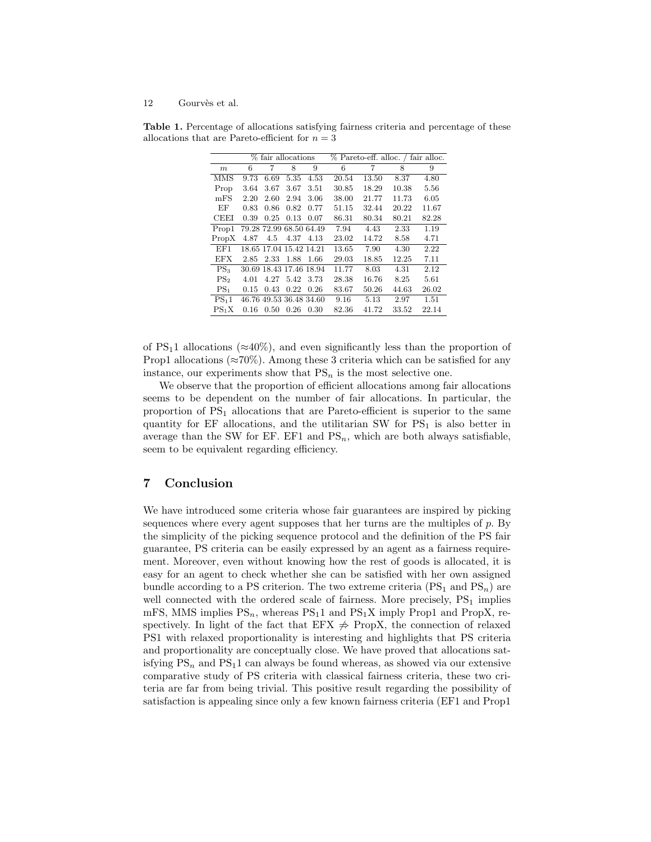|                   |      |      | % fair allocations      |                         | % Pareto-eff. alloc. / fair alloc. |       |       |       |  |
|-------------------|------|------|-------------------------|-------------------------|------------------------------------|-------|-------|-------|--|
| m                 | 6    | 7    | 8                       | 9                       | 6                                  | 7     | 8     | 9     |  |
| MMS               | 9.73 | 6.69 | 5.35                    | 4.53                    | 20.54                              | 13.50 | 8.37  | 4.80  |  |
| Prop              | 3.64 | 3.67 | 3.67                    | 3.51                    | 30.85                              | 18.29 | 10.38 | 5.56  |  |
| mFS               | 2.20 | 2.60 | 2.94                    | 3.06                    | 38.00                              | 21.77 | 11.73 | 6.05  |  |
| ЕF                | 0.83 | 0.86 | 0.82                    | 0.77                    | 51.15                              | 32.44 | 20.22 | 11.67 |  |
| CEEI              | 0.39 | 0.25 | 0.13                    | 0.07                    | 86.31                              | 80.34 | 80.21 | 82.28 |  |
| Prop1             |      |      |                         | 79.28 72.99 68.50 64.49 | 7.94                               | 4.43  | 2.33  | 1.19  |  |
| Prop X            | 4.87 | 4.5  | 4.37                    | 4.13                    | 23.02                              | 14.72 | 8.58  | 4.71  |  |
| EF1               |      |      | 18.65 17.04 15.42 14.21 |                         | 13.65                              | 7.90  | 4.30  | 2.22  |  |
| EFX               | 2.85 | 2.33 | 1.88                    | 1.66                    | 29.03                              | 18.85 | 12.25 | 7.11  |  |
| $PS_3$            |      |      | 30.69 18.43 17.46 18.94 |                         | 11.77                              | 8.03  | 4.31  | 2.12  |  |
| PS <sub>2</sub>   | 4.01 | 4.27 | 5.42                    | 3.73                    | 28.38                              | 16.76 | 8.25  | 5.61  |  |
| $PS_1$            | 0.15 | 0.43 | 0.22                    | 0.26                    | 83.67                              | 50.26 | 44.63 | 26.02 |  |
| PS <sub>1</sub> 1 |      |      |                         | 46.76 49.53 36.48 34.60 | 9.16                               | 5.13  | 2.97  | 1.51  |  |
| $PS_1X$           | 0.16 | 0.50 | 0.26                    | 0.30                    | 82.36                              | 41.72 | 33.52 | 22.14 |  |

Table 1. Percentage of allocations satisfying fairness criteria and percentage of these allocations that are Pareto-efficient for  $n = 3$ 

of PS<sub>1</sub>1 allocations ( $\approx$ 40%), and even significantly less than the proportion of Prop1 allocations ( $\approx 70\%$ ). Among these 3 criteria which can be satisfied for any instance, our experiments show that  $PS_n$  is the most selective one.

We observe that the proportion of efficient allocations among fair allocations seems to be dependent on the number of fair allocations. In particular, the proportion of  $PS<sub>1</sub>$  allocations that are Pareto-efficient is superior to the same quantity for  $EF$  allocations, and the utilitarian SW for  $PS<sub>1</sub>$  is also better in average than the SW for EF. EF1 and  $PS_n$ , which are both always satisfiable, seem to be equivalent regarding efficiency.

## 7 Conclusion

We have introduced some criteria whose fair guarantees are inspired by picking sequences where every agent supposes that her turns are the multiples of  $p$ . By the simplicity of the picking sequence protocol and the definition of the PS fair guarantee, PS criteria can be easily expressed by an agent as a fairness requirement. Moreover, even without knowing how the rest of goods is allocated, it is easy for an agent to check whether she can be satisfied with her own assigned bundle according to a PS criterion. The two extreme criteria  $(PS_1 \text{ and } PS_n)$  are well connected with the ordered scale of fairness. More precisely,  $PS<sub>1</sub>$  implies mFS, MMS implies  $PS_n$ , whereas  $PS_11$  and  $PS_1X$  imply Prop1 and PropX, respectively. In light of the fact that EFX  $\Rightarrow$  PropX, the connection of relaxed PS1 with relaxed proportionality is interesting and highlights that PS criteria and proportionality are conceptually close. We have proved that allocations satisfying  $PS_n$  and  $PS_11$  can always be found whereas, as showed via our extensive comparative study of PS criteria with classical fairness criteria, these two criteria are far from being trivial. This positive result regarding the possibility of satisfaction is appealing since only a few known fairness criteria (EF1 and Prop1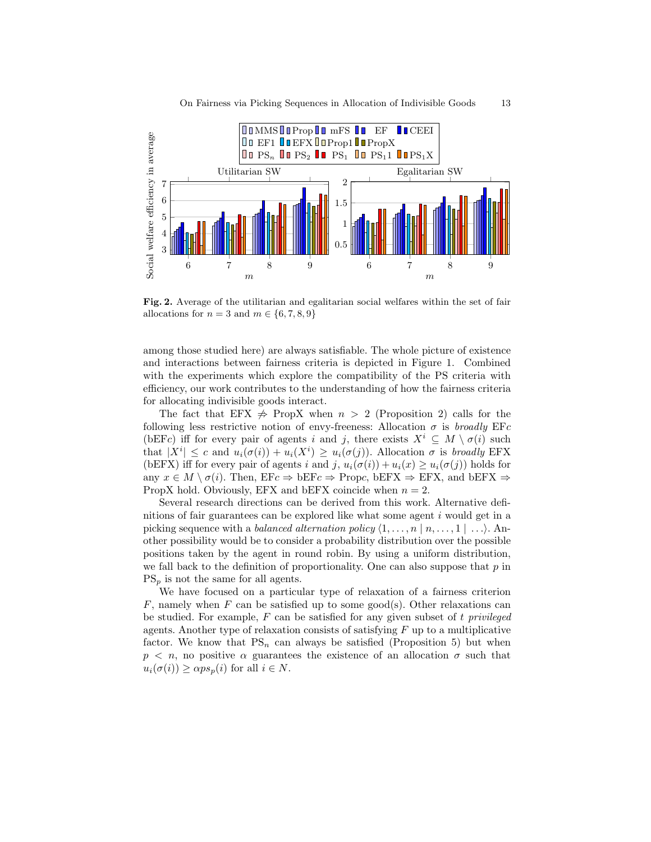

Fig. 2. Average of the utilitarian and egalitarian social welfares within the set of fair allocations for  $n = 3$  and  $m \in \{6, 7, 8, 9\}$ 

among those studied here) are always satisfiable. The whole picture of existence and interactions between fairness criteria is depicted in Figure 1. Combined with the experiments which explore the compatibility of the PS criteria with efficiency, our work contributes to the understanding of how the fairness criteria for allocating indivisible goods interact.

The fact that EFX  $\Rightarrow$  PropX when  $n > 2$  (Proposition 2) calls for the following less restrictive notion of envy-freeness: Allocation  $\sigma$  is broadly EFc (bEFc) iff for every pair of agents i and j, there exists  $X^i \subseteq M \setminus \sigma(i)$  such that  $|X^i| \leq c$  and  $u_i(\sigma(i)) + u_i(X^i) \geq u_i(\sigma(j))$ . Allocation  $\sigma$  is broadly EFX (bEFX) iff for every pair of agents i and j,  $u_i(\sigma(i)) + u_i(x) \ge u_i(\sigma(j))$  holds for any  $x \in M \setminus \sigma(i)$ . Then,  $E F c \Rightarrow b E F c \Rightarrow$  Propc,  $b E F X \Rightarrow E F X$ , and  $b E F X \Rightarrow$ PropX hold. Obviously, EFX and bEFX coincide when  $n = 2$ .

Several research directions can be derived from this work. Alternative definitions of fair guarantees can be explored like what some agent  $i$  would get in a picking sequence with a *balanced alternation policy*  $\langle 1, \ldots, n | n, \ldots, 1 | \ldots \rangle$ . Another possibility would be to consider a probability distribution over the possible positions taken by the agent in round robin. By using a uniform distribution, we fall back to the definition of proportionality. One can also suppose that  $p$  in  $PS_p$  is not the same for all agents.

We have focused on a particular type of relaxation of a fairness criterion  $F$ , namely when  $F$  can be satisfied up to some good(s). Other relaxations can be studied. For example,  $F$  can be satisfied for any given subset of t privileged agents. Another type of relaxation consists of satisfying  $F$  up to a multiplicative factor. We know that  $PS_n$  can always be satisfied (Proposition 5) but when  $p \leq n$ , no positive  $\alpha$  guarantees the existence of an allocation  $\sigma$  such that  $u_i(\sigma(i)) > \alpha ps_n(i)$  for all  $i \in N$ .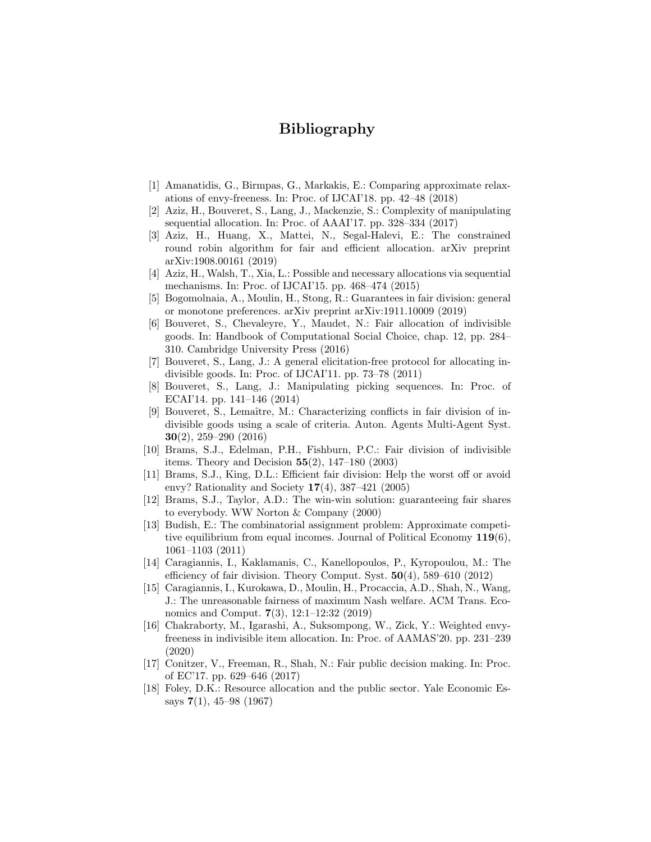# Bibliography

- [1] Amanatidis, G., Birmpas, G., Markakis, E.: Comparing approximate relaxations of envy-freeness. In: Proc. of IJCAI'18. pp. 42–48 (2018)
- [2] Aziz, H., Bouveret, S., Lang, J., Mackenzie, S.: Complexity of manipulating sequential allocation. In: Proc. of AAAI'17. pp. 328–334 (2017)
- [3] Aziz, H., Huang, X., Mattei, N., Segal-Halevi, E.: The constrained round robin algorithm for fair and efficient allocation. arXiv preprint arXiv:1908.00161 (2019)
- [4] Aziz, H., Walsh, T., Xia, L.: Possible and necessary allocations via sequential mechanisms. In: Proc. of IJCAI'15. pp. 468–474 (2015)
- [5] Bogomolnaia, A., Moulin, H., Stong, R.: Guarantees in fair division: general or monotone preferences. arXiv preprint arXiv:1911.10009 (2019)
- [6] Bouveret, S., Chevaleyre, Y., Maudet, N.: Fair allocation of indivisible goods. In: Handbook of Computational Social Choice, chap. 12, pp. 284– 310. Cambridge University Press (2016)
- [7] Bouveret, S., Lang, J.: A general elicitation-free protocol for allocating indivisible goods. In: Proc. of IJCAI'11. pp. 73–78 (2011)
- [8] Bouveret, S., Lang, J.: Manipulating picking sequences. In: Proc. of ECAI'14. pp. 141–146 (2014)
- [9] Bouveret, S., Lemaˆıtre, M.: Characterizing conflicts in fair division of indivisible goods using a scale of criteria. Auton. Agents Multi-Agent Syst. 30(2), 259–290 (2016)
- [10] Brams, S.J., Edelman, P.H., Fishburn, P.C.: Fair division of indivisible items. Theory and Decision  $55(2)$ , 147–180 (2003)
- [11] Brams, S.J., King, D.L.: Efficient fair division: Help the worst off or avoid envy? Rationality and Society  $17(4)$ , 387–421 (2005)
- [12] Brams, S.J., Taylor, A.D.: The win-win solution: guaranteeing fair shares to everybody. WW Norton & Company (2000)
- [13] Budish, E.: The combinatorial assignment problem: Approximate competitive equilibrium from equal incomes. Journal of Political Economy  $119(6)$ , 1061–1103 (2011)
- [14] Caragiannis, I., Kaklamanis, C., Kanellopoulos, P., Kyropoulou, M.: The efficiency of fair division. Theory Comput. Syst.  $50(4)$ , 589–610 (2012)
- [15] Caragiannis, I., Kurokawa, D., Moulin, H., Procaccia, A.D., Shah, N., Wang, J.: The unreasonable fairness of maximum Nash welfare. ACM Trans. Economics and Comput. 7(3), 12:1–12:32 (2019)
- [16] Chakraborty, M., Igarashi, A., Suksompong, W., Zick, Y.: Weighted envyfreeness in indivisible item allocation. In: Proc. of AAMAS'20. pp. 231–239 (2020)
- [17] Conitzer, V., Freeman, R., Shah, N.: Fair public decision making. In: Proc. of EC'17. pp. 629–646 (2017)
- [18] Foley, D.K.: Resource allocation and the public sector. Yale Economic Essays 7(1), 45–98 (1967)